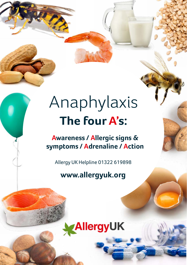## **The four A's:** Anaphylaxis

**Awareness / Allergic signs & symptoms / Adrenaline / Action**

Allergy UK Helpline 01322 619898

### **www.allergyuk.org**

## AllergyUK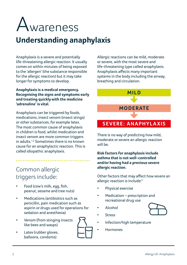

## **Understanding anaphylaxis**

Anaphylaxis is a severe and potentially life-threatening allergic reaction. It usually comes on within minutes of being exposed to the 'allergen' (the substance responsible for the allergic reaction) but it may take longer for symptoms to develop.

#### **Anaphylaxis is a medical emergency. Recognising the signs and symptoms early and treating quickly with the medicine 'adrenaline' is vital.**

Anaphylaxis can be triggered by foods, medications, insect venom (insect stings) or other substances, for example latex. The most common cause of anaphylaxis in children is food, whilst medication and insect venom are more common triggers in adults.1,2 Sometimes there is no known cause for an anaphylactic reaction. This is called idiopathic anaphylaxis.

### Common allergic triggers include:

- Food (cow's milk, egg, fish, peanut, sesame and tree nuts)
- Medications (antibiotics such as penicillin, pain medication such as aspirin or drugs used for operations for sedation and anesthesia)
- Venom (from stinging insects like bees and wasps)
- 
- Latex (rubber gloves, balloons, condoms)

Allergic reactions can be mild, moderate or severe, with the most severe and life-threatening type called anaphylaxis. Anaphylaxis affects many important systems in the body including the airway, breathing and circulation.

**MILD**

### **M O D E R AT E**

### **SEVERE: ANAPHYLAXIS**

There is no way of predicting how mild, moderate or severe an allergic reaction will be.

**Risk factors for anaphylaxis include asthma that is not well-controlled and/or having had a previous severe allergic reaction.** 

Other factors that may affect how severe an allergic reaction is include:3

- Physical exercise
- Medication prescription and recreational drug use
- Alcohol
- Stress
- Infection/high temperature
- Hormones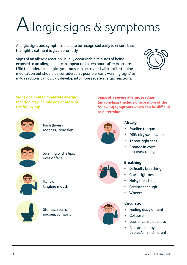# $\bigcup$ llergic signs  $\&$  symptoms

Allergic signs and symptoms need to be recognised early to ensure that the right treatment is given promptly.

Signs of an allergic reaction usually occur within minutes of being exposed to an allergen but can appear up to two hours after exposure. Mild to moderate allergic symptoms can be treated with antihistamine medication but should be considered as possible 'early warning signs' as mild reactions can quickly develop into more severe allergic reactions.



**Signs of a mild to moderate allergic reaction may include one or more of the following:** 



Rash (hives), redness, itchy skin



**to determine:**

#### **Airway:**

**Signs of a severe allergic reaction (anaphylaxis) include one or more of the following symptoms which can be difficult** 

- Swollen tonque
- Difficulty swallowing
- Throat tightness
- Change in voice (hoarse/croaky)

### **Breathing:**

- Difficulty breathing
- Chest tightness
- Noisy breathing
- Persistent cough
- Wheeze

### **Circulation:**

- Feeling dizzy or faint
- Collapse
- Loss of consciousness
- Pale and floppy (in babies/small children)



Swelling of the lips, eyes or face



Itchy or tingling mouth



Stomach pain, nausea, vomiting



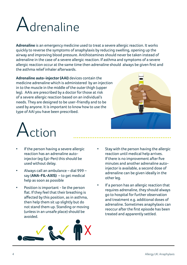

**Adrenaline** is an emergency medicine used to treat a severe allergic reaction. It works quickly to reverse the symptoms of anaphylaxis by reducing swelling, opening up the airway and improving blood pressure. Antihistamines should never be taken instead of adrenaline in the case of a severe allergic reaction. If asthma and symptoms of a severe allergic reaction occur at the same time then adrenaline should always be given first and the asthma relief inhaler afterwards.

**Adrenaline auto-injector (AAI)** devices contain the medicine adrenaline which is administered by an injection in to the muscle in the middle of the outer thigh (upper leg). AAIs are prescribed by a doctor for those at risk of a severe allergic reaction based on an individual's needs. They are designed to be user-friendly and to be used by anyone. It is important to know how to use the type of AAI you have been prescribed.





- If the person having a severe allergic reaction has an adrenaline autoinjector (eg Epi-Pen) this should be used without delay.
- Always call an ambulance dial 999 say (**ANA-FIL-AXIS)** – to get medical help as soon as possible
- Position is important lie the person flat. If they feel that their breathing is affected by this position, as in asthma, then help them sit up slightly but do not stand them up. Standing or moving (unless in an unsafe place) should be avoided.



- Stay with the person having the allergic reaction until medical help arrives. If there is no improvement after five minutes and another adrenaline autoinjector is available, a second dose of adrenaline can be given ideally in the other leg.
- If a person has an allergic reaction that requires adrenaline, they should always go to hospital for further observation and treatment e.g. additional doses of adrenaline. Sometimes anaphylaxis can reoccur after the first episode has been treated and apparently settled.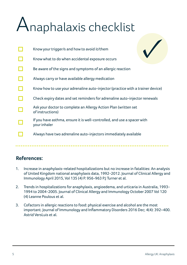## Anaphalaxis checklist

| Know your trigger/s and how to avoid it/them                                            |
|-----------------------------------------------------------------------------------------|
| Know what to do when accidental exposure occurs                                         |
| Be aware of the signs and symptoms of an allergic reaction                              |
| Always carry or have available allergy medication                                       |
| Know how to use your adrenaline auto-injector (practice with a trainer device)          |
| Check expiry dates and set reminders for adrenaline auto-injector renewals              |
| Ask your doctor to complete an Allergy Action Plan (written set<br>of instructions)     |
| If you have asthma, ensure it is well-controlled, and use a spacer with<br>your inhaler |
| Always have two adrenaline auto-injectors immediately available                         |

### **References:**

- 1. Increase in anaphylaxis-related hospitalizations but no increase in fatalities: An analysis of United Kingdom national anaphylaxis data, 1992-2012. Journal of Clinical Allergy and Immunology April 2015, Vol 135 (4) P. 956-963 P.J Turner et al.
- 2. Trends in hospitalizations for anaphylaxis, angioedema, and urticaria in Australia, 1993- 1994 to 2004-2005. Journal of Clinical Allergy and Immunology October 2007 Vol 120 (4) Leanne Poulous et al.
- 3. Cofactors in allergic reactions to food: physical exercise and alcohol are the most important. Journal of Immunology and Inflammatory Disorders 2016 Dec; 4(4): 392–400. Astrid VersLuis et al.